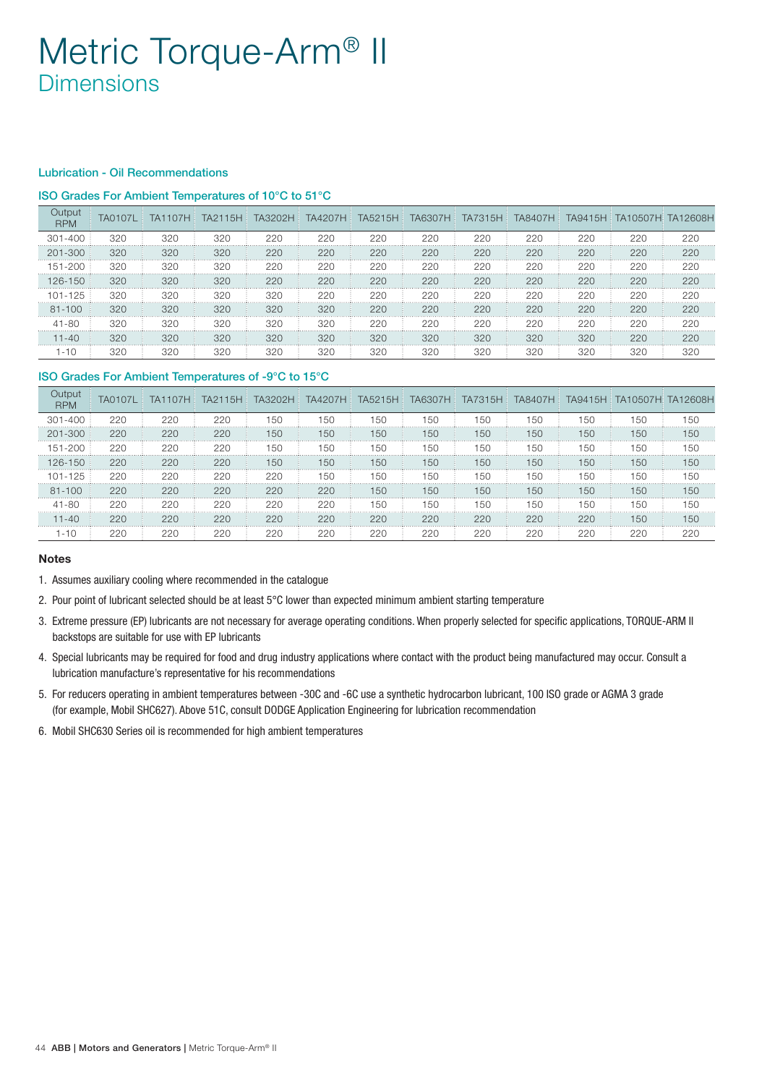# Metric Torque-Arm® II **Dimensions**

#### Lubrication - Oil Recommendations

### ISO Grades For Ambient Temperatures of 10°C to 51°C

| Output<br><b>RPM</b> | <b>TA0107L</b> | TA1107H | TA2115H | TA3202H | <b>TA4207H</b> |     | TA5215H TA6307H | TA7315H | <b>TA8407H</b> |     | TA9415H TA10507H TA12608H |     |
|----------------------|----------------|---------|---------|---------|----------------|-----|-----------------|---------|----------------|-----|---------------------------|-----|
| $301 - 400$          | 320            | 320     | 320     | 220     | 220            | 220 | 220             | 220     | 220            | 220 | 220                       | 220 |
| $201 - 300$          | 320            | 320     | 320     | 220     | 220            | 220 | 220             | 220     | 220            | 220 | 220                       | 220 |
| 151-200              | 320            | 320     | 320     | 220     | 220            | 220 | 220             | 220     | 220            | 220 | 220                       | 220 |
| $126 - 150$          | 320            | 320     | 320     | 220     | 220            | 220 | 220             | 220     | 220            | 220 | 220                       | 220 |
| 101-125              | 320            | 320     | 320     | 320     | 220            | 220 | 220             | 220     | 220            | 220 | 220                       | 220 |
| $81 - 100$           | 320            | 320     | 320     | 320     | 320            | 220 | 220             | 220     | 220            | 220 | 220                       | 220 |
| $41 - 80$            | 320            | 320     | 320     | 320     | 320            | 220 | 220             | 220     | 220            | 220 | 220                       | 220 |
| $11 - 40$            | 320            | 320     | 320     | 320     | 320            | 320 | 320             | 320     | 320            | 320 | 220                       | 220 |
| $1 - 10$             | 320            | 320     | 320     | 320     | 320            | 320 | 320             | 320     | 320            | 320 | 320                       | 320 |

## ISO Grades For Ambient Temperatures of -9°C to 15°C

| Output<br><b>RPM</b> | <b>TA0107L</b> | TA1107H | TA2115H | TA3202H | <b>TA4207H</b> | TA5215H | <b>TA6307H</b> | TA7315H | TA8407H | TA9415H | TA10507H: TA12608H |     |
|----------------------|----------------|---------|---------|---------|----------------|---------|----------------|---------|---------|---------|--------------------|-----|
| $301 - 400$          | 220            | 220     | 220     | 150     | 150            | 150     | 150            | 150     | 150     | 150     | 150                | 150 |
| $201 - 300$          | 220            | 220     | 220     | 150     | 150            | 150     | 150            | 150     | 150     | 150     | 150                | 150 |
| 151-200              | 220            | 220     | 220     | 150     | 150            | 150     | 150            | 150     | 150     | 150     | 150                | 150 |
| $126 - 150$          | 220            | 220     | 220     | 150     | 150            | 150     | 150            | 150     | 150     | 150     | 150                | 150 |
| 101-125              | 220            | 220     | 220     | 220     | 150            | 150     | 150            | 150     | 150     | 150     | 150                | 150 |
| $81 - 100$           | 220            | 220     | 220     | 220     | 220            | 150     | 150            | 150     | 150     | 150     | 150                | 150 |
| $41 - 80$            | 220            | 220     | 220     | 220     | 220            | 150     | 150            | 150     | 150     | 150     | 150                | 150 |
| $11 - 40$            | 220            | 220     | 220     | 220     | 220            | 220     | 220            | 220     | 220     | 220     | 150                | 150 |
| 1-10                 | 220            | 220     | 220     | 220     | 220            | 220     | 220            | 220     | 220     | 220     | 220                | 220 |

#### Notes

- 1. Assumes auxiliary cooling where recommended in the catalogue
- 2. Pour point of lubricant selected should be at least 5°C lower than expected minimum ambient starting temperature
- 3. Extreme pressure (EP) lubricants are not necessary for average operating conditions. When properly selected for specific applications, TORQUE-ARM II backstops are suitable for use with EP lubricants
- 4. Special lubricants may be required for food and drug industry applications where contact with the product being manufactured may occur. Consult a lubrication manufacture's representative for his recommendations
- 5. For reducers operating in ambient temperatures between -30C and -6C use a synthetic hydrocarbon lubricant, 100 ISO grade or AGMA 3 grade (for example, Mobil SHC627). Above 51C, consult DODGE Application Engineering for lubrication recommendation
- 6. Mobil SHC630 Series oil is recommended for high ambient temperatures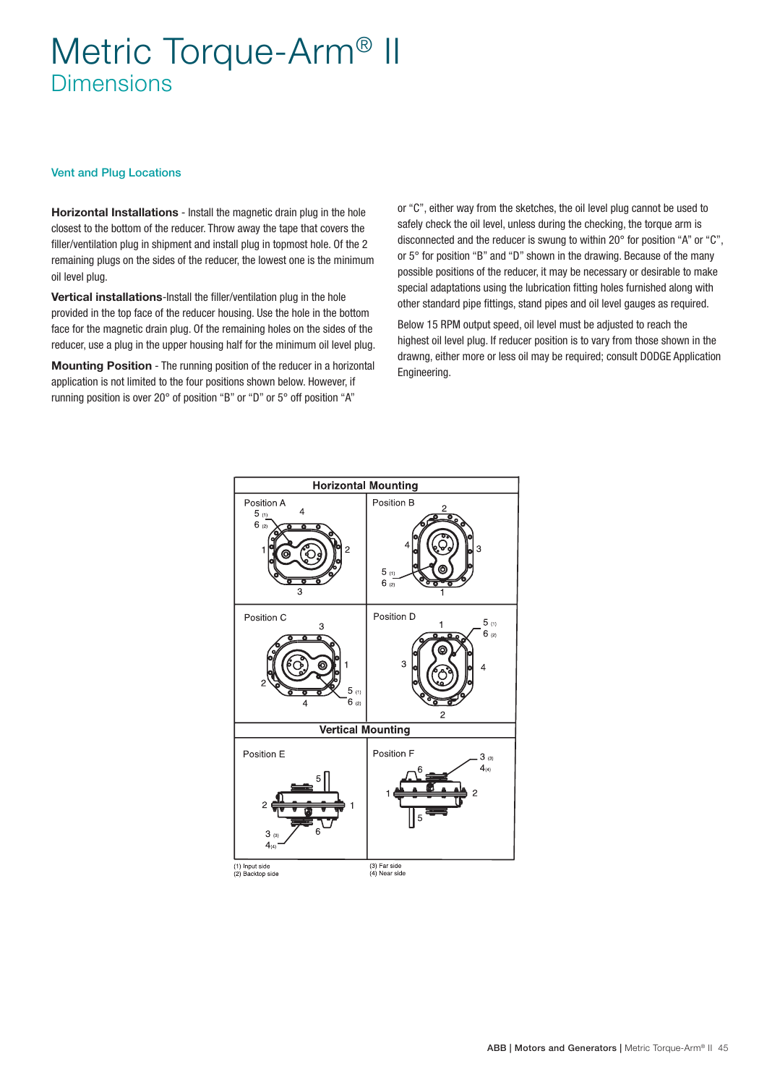# Metric Torque-Arm® II Dimensions

#### Vent and Plug Locations

Horizontal Installations - Install the magnetic drain plug in the hole closest to the bottom of the reducer. Throw away the tape that covers the filler/ventilation plug in shipment and install plug in topmost hole. Of the 2 remaining plugs on the sides of the reducer, the lowest one is the minimum oil level plug.

Vertical installations-Install the filler/ventilation plug in the hole provided in the top face of the reducer housing. Use the hole in the bottom face for the magnetic drain plug. Of the remaining holes on the sides of the reducer, use a plug in the upper housing half for the minimum oil level plug.

Mounting Position - The running position of the reducer in a horizontal application is not limited to the four positions shown below. However, if running position is over 20° of position "B" or "D" or 5° off position "A"

or "C", either way from the sketches, the oil level plug cannot be used to safely check the oil level, unless during the checking, the torque arm is disconnected and the reducer is swung to within 20° for position "A" or "C", or 5° for position "B" and "D" shown in the drawing. Because of the many possible positions of the reducer, it may be necessary or desirable to make special adaptations using the lubrication fitting holes furnished along with other standard pipe fittings, stand pipes and oil level gauges as required.

Below 15 RPM output speed, oil level must be adjusted to reach the highest oil level plug. If reducer position is to vary from those shown in the drawng, either more or less oil may be required; consult DODGE Application Engineering.